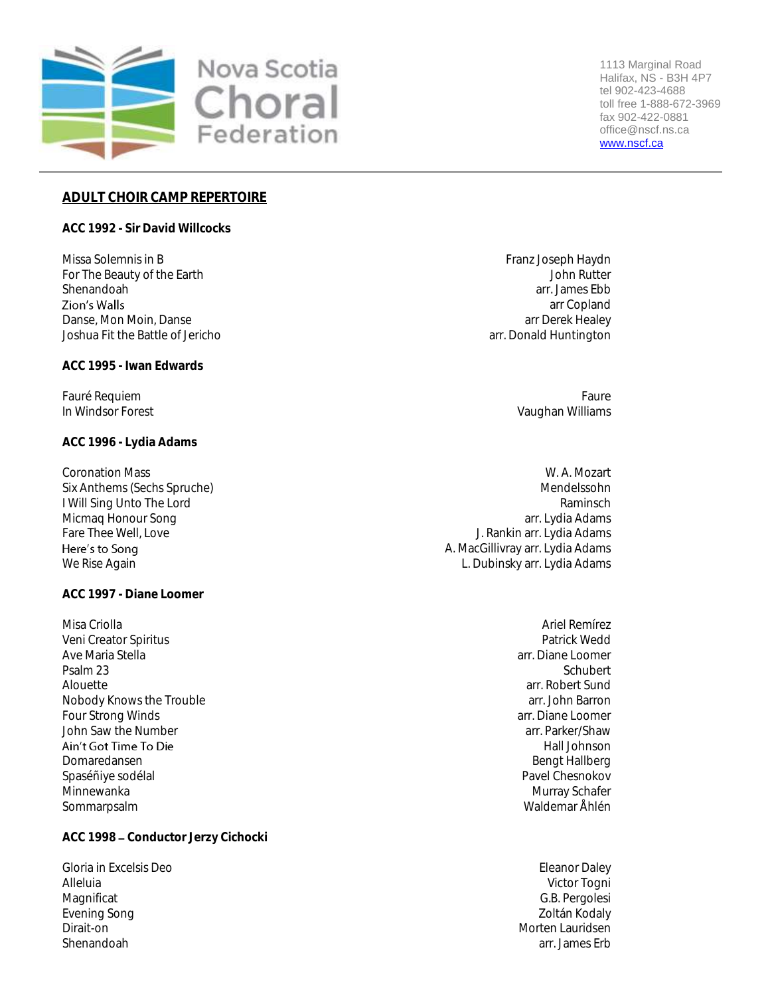

1113 Marginal Road Halifax, NS - B3H 4P7 tel 902-423-4688 toll free 1-888-672-3969 fax 902-422-0881 office@nscf.ns.ca [www.nscf.ca](http://www.nscf.ca/)

# **ADULT CHOIR CAMP REPERTOIRE**

**ACC 1992 - Sir David Willcocks**

Missa Solemnis in B Franz Joseph Haydn Nissa Solemnis in B For The Beauty of the Earth John Rutter<br>Shenandoah arrivation of the Earth Shenandoah arrivation of the Earth Shenandoah arrivation of the Shenandoah Shenandoah arr. James Ebb Danse, Mon Moin, Danse arr Derek Healey Joshua Fit the Battle of Jericho arr. Donald Huntington

**ACC 1995 - Iwan Edwards**

Fauré Requiem Faure<br>In Windsor Forest Line (1999) and the Cause of the Cause of the Cause of the Cause of the Cause of the Cause o<br>Vaughan Williams

**ACC 1996 - Lydia Adams**

Micmaq Honour Song<br>Fare Thee Well, Love Here's to Sona

**ACC 1997 - Diane Loomer**

Misa Criolla Ariel Remírez Veni Creator Spiritus Patrick Wedd Ave Maria Stella arr. Diane Loomer arr. Diane Loomer arr. Diane Loomer arr. Diane Loomer arr. Diane Loomer arc<br>Psalm 23 arr. Diane Loomer arc. Architects are also been as a sensual stellar architects are also been also be Psalm 23 Schubert – State Schubert – Schubert – Schubert – Schubert – Schubert – Schubert – Schubert – Schubert Alouette<br>Nobody Knows the Trouble<br>Nobody Knows the Trouble Nobody Knows the Trouble arr. John Barron arr. John Barron arr. John Barron arr. John Barron arr. John Barron<br>Four Strong Winds Four Strong Winds John Saw the Number arr. Parker/Shaw and John Saw the Number arr. Parker/Shaw arr. Parker/Shaw arr. Parker/Shaw<br>Ain't Got Time To Die the Shaw and Diskup and Diskup are the Hall Johnson and Hall Johnson and Hall Johnson an Domaredansen Bengt Hallberg and Bengt Hallberg and Bengt Hallberg and Bengt Hallberg and Bengt Hallberg and Bengt Hallberg and Bengt Hallberg and Bengt Hallberg and Bengt Hallberg and Bengt Hallberg and Bengt Hallberg and Spaséñiye sodélal **Pavel Chesnokov** Chesnokov et al. Pavel Chesnokov Pavel Chesnokov Minnewanka Murray Schafer Number of the Murray Schafer Number of the Murray Schafer Number of the Murray Schafer Sommarpsalm Waldemar Åhlén

**ACC 1998 Conductor Jerzy Cichocki**

Gloria in Excelsis Deo **Eleanor Daley Eleanor Daley** Alleluia Victor Togni Magnificat G.B. Pergolesi Evening Song Zoltán Kodaly Shenandoah arr. James Erb

arr Copland

Vaughan Williams

Coronation Mass W. A. Mozart Six Anthems (Sechs Spruche) and the method of the method of the method of the method of the method of the method of the method of the method of the method of the method of the method of the method of the method of the meth I Will Sing Unto The Lord Raminsch (Raminsch Raminsch Raminsch Raminsch Raminsch Raminsch Raminsch Raminsch Ra<br>Raminsch Raminsch Raminsch (Raminsch Raminsch Raminsch Raminsch Raminsch Raminsch Raminsch Raminsch Raminsch R J. Rankin arr. Lydia Adams A. MacGillivray arr. Lydia Adams We Rise Again L. Dubinsky arr. Lydia Adams

Hall Johnson

Morten Lauridsen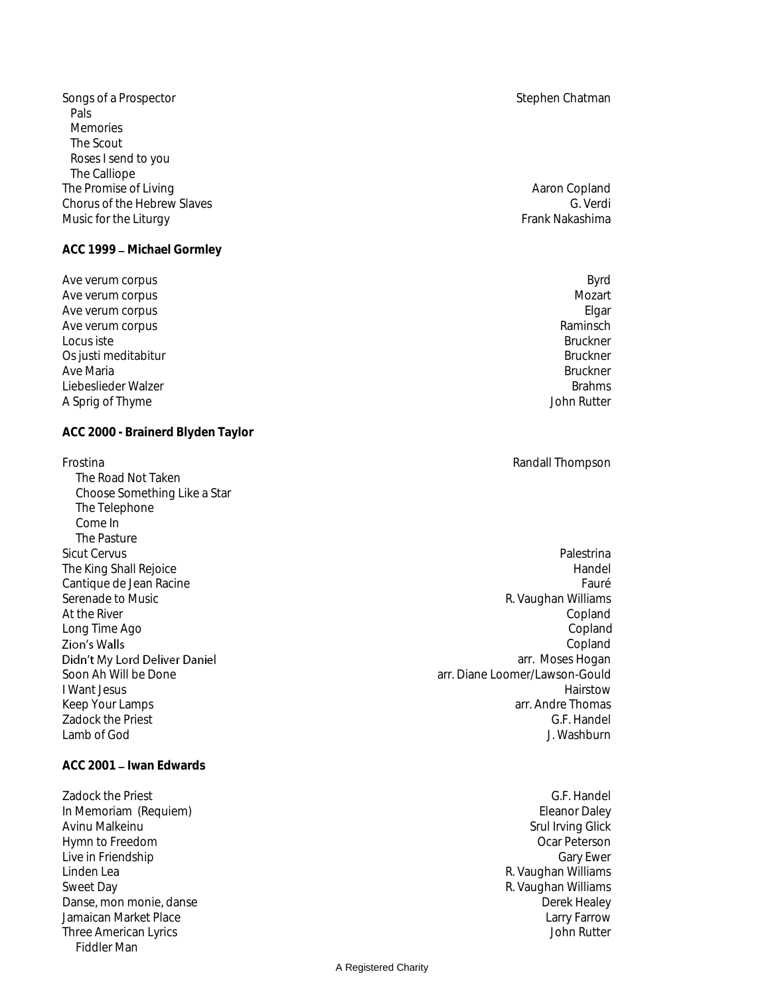Songs of a Prospector Stephen Chatman Stephen Chatman Stephen Chatman Stephen Chatman Stephen Chatman Stephen Chatman Pals Memories The Scout Roses I send to you The Calliope The Promise of Living and Sales and Sales and Sales and Sales and Aaron Copland Aaron Copland Chorus of the Hebrew Slaves Chorus of the Hebrew Slaves G. Verdi<br>Music for the Liturav G. Verdi Music for the Liturgy

ACC 1999 - Michael Gormley

Ave verum corpus Byrd Ave verum corpus and the second second second second second second second second second second second second se<br>Ave verum corpus and the second second second second second second second second second second second second s Ave verum corpus Elgar<br>Ave verum corpus Elgar<br>Ave verum corpus Elgar Ave verum corpus and the second second second second second second second second second second second second second second second second second second second second second second second second second second second second s Locus iste Bruckner Os justi meditabitur and the set of the set of the set of the set of the set of the set of the set of the set o<br>Bruckner Bruckner and the set of the set of the set of the set of the set of the set of the set of the set of Ave Maria Bruckner (1999) and the second state of the second state of the second state  $\sim$  Bruckner (1999) and the second state of the second state of the second state of the second state  $\sim$  1999) and the second state o Liebeslieder Walzer Brahms (1999) - States and Schwarzer Brahms (1999) - Brahms (1999) - Brahms (1999) - Brahms<br>A Sprig of Thyme A Sprig of Thyme

**ACC 2000 - Brainerd Blyden Taylor**

Frostina Randall Thompson The Road Not Taken Choose Something Like a Star The Telephone<br>Come In Come In the complex of the complex of the complex of the complex of the complex of the complex of the complex of the complex of the complex of the complex of the complex of the complex of the complex of the complex of the The Pasture<br>Sicut Cervus Zion's Walls Didn't My Lord Deliver Daniel Lamb of God J. Washburn

ACC 2001 - Iwan Edwards

Zadock the Priest G.F. Handel<br>
In Memoriam (Requiem) and C.F. Handel C.F. Handel C.F. Handel C.F. Handel C.F. Handel C.F. Handel C.F. Handel In Memoriam (Requiem) Avinu Malkeinu Nather and Santa Terminal Srul Irving Glick Srul Irving Glick<br>Alymn to Freedom Nather and Srul Irving Glick Srul Irving Glick Nather and Srul Irving Glick Srul Irving Glick Hymn to Freedom Ocar Peterson Live in Friendship<br>Linden Lea Sweet Day R. Vaughan Williams<br>Danse, mon monie, danse and the state of the state of the state of the Sunghan Williams Danse, mon monie, dans Danse, mon monie, danse Jamaican Market Place (1999) and the University of the University of the University Parrow (1999) and Larry Farrow<br>Three American Lyrics (1999) and the University of the University of the University of the University of th Three American Lyrics Fiddler Man

Sicut Cervus Palestrina The King Shall Rejoice **Handel** Handel And The King Shall Rejoice **Handel** Handel And The King Shall Rejoice **Handel** Cantique de Jean Racine Fauré de Santique de Jean Racine Fauré de la commune de la commune de la commune de Fauré Serenade to Music **R. Vaughan Williams** R. Vaughan Williams At the River Copland (2008) At the River Copland (2008) At the River Copland (2008) At the River Copland (2008) Long Time Ago Copland Copland arr. Moses Hogan Soon Ah Will be Done arr. Diane Loomer/Lawson-Gould I Want Jesus Hairstow Keep Your Lamps arr. Andre Thomas arr. Andre Thomas arr. Andre Thomas arr. Andre Thomas arr. Andre Thomas arr. Andre Thomas arr. Andre Thomas arr. Andre Thomas arr. Andre Thomas arr. Andre Thomas arr. Andre Thomas arr. And Zadock the Priest G.F. Handel

R. Vaughan Williams

#### A Registered Charity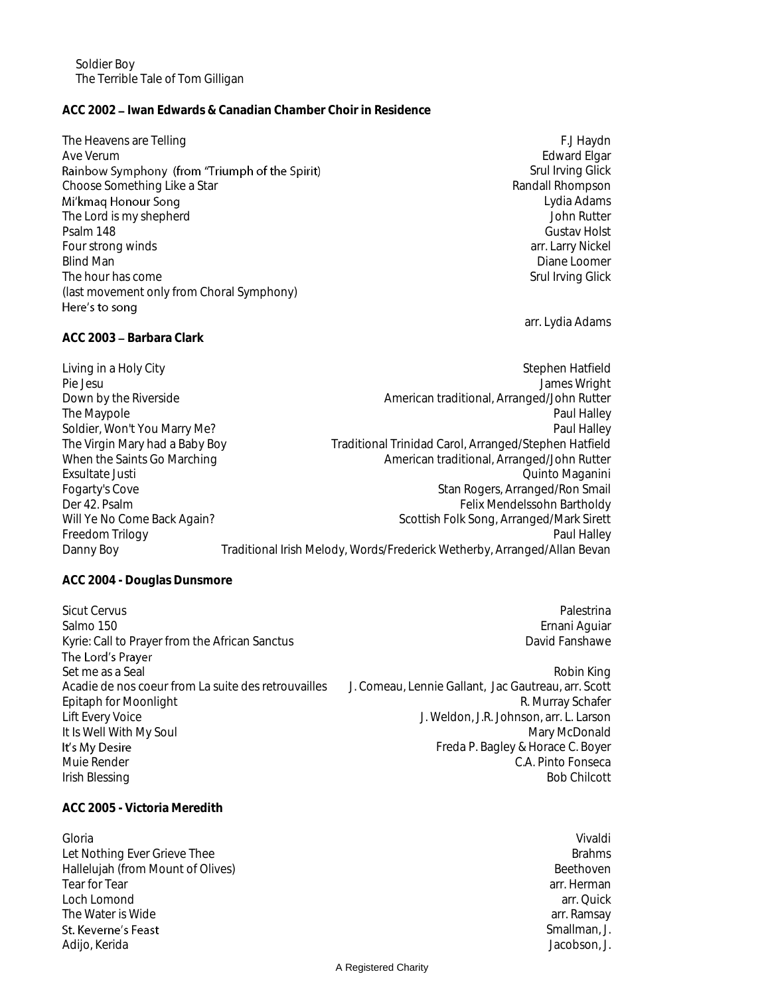Soldier Boy The Terrible Tale of Tom Gilligan

## **ACC 2002 Iwan Edwards & Canadian Chamber Choir in Residence**

The Heavens are Telling F.J Haydn F.J Haydn F.J Haydn F.J Haydn F.J Haydn F.J Haydn F.J Haydn F.J Haydn F.J Haydn Ave Verum **Edward Elgar** entertainment of the state of the state of the state of the state of the state of the state of the state of the state of the state of the state of the state of the state of the state of the state o Rainbow Symphony (from "Triumph of the Spirit) Srul Irving Glick<br>Randall Rhompson Choose Something Like a Star<br>Mi'kmaq Honour Song Lydia Adams The Lord is my shepherd John Rutter Psalm 148 Gustav Holst Four strong winds and the strong winds are strong winds and the strong winds are strong winds are strong winds and the strong winds are strong winds and the strong winds are strong winds and the strong winds are strong win Blind Man Diane Loomer Communication and the United States of the United States of Diane Loomer Communications The hour has come Samuel Communications and the state of the Srul Irving Glick Srul Irving Glick (last movement only from Choral Symphony) Here's to song arr. Lydia Adams ACC 2003 - Barbara Clark Living in a Holy City Stephen Hatfield Stephen Hatfield Pie Jesu James Wright Down by the Riverside **American traditional**, Arranged/John Rutter The Maypole **Paul Halley Paul Halley Paul Halley** Soldier, Won't You Marry Me?<br>The Virgin Mary had a Baby Boy Fraditional Trinidad Carol, Arranged/Stephen Hatfield Traditional Trinidad Carol, Arranged/Stephen Hatfield When the Saints Go Marching American traditional, Arranged/John Rutter Exsultate Justi Quinto Maganini Fogarty's Cove Stan Rogers, Arranged/Ron Smail Der 42. Psalm Felix Mendelssohn Bartholdy<br>Will Ye No Come Back Again? Scottish Folk Song, Arranged/Mark Sirett Scottish Folk Song, Arranged/Mark Sirett Freedom Trilogy **Paul Halley** Paul Halley **Paul Halley** Danny Boy Traditional Irish Melody, Words/Frederick Wetherby, Arranged/Allan Bevan **ACC 2004 - Douglas Dunsmore** Sicut Cervus Palestrina Palestrina Palestrina Palestrina Palestrina Palestrina Palestrina Palestrina Palestrina Salmo 150 **Ernani Aguiar** Control of the Control of the Control of the Control of the Control of the Control of the Control of the Control of the Control of the Control of the Control of the Control of the Control of the C Kyrie: Call to Prayer from the African Sanctus decrees and the Lord's Pavid Fanshawe David Fanshawe<br>The Lord's Prayer

Set me as a Seal Robin King and the set of the set of the set of the set of the set of the set of the set of the set of the set of the set of the set of the set of the set of the set of the set of the set of the set of the Acadie de nos coeur from La suite des retrouvailles J. Comeau, Lennie Gallant, Jac Gautreau, arr. Scott Epitaph for Moonlight **R. Australian Equipment Control** R. Murray Schafer Lift Every Voice J. Weldon, J.R. Johnson, arr. L. Larson It Is Well With My Soul Mary McDonald It's My Desire Muie Render C.A. Pinto Fonseca

Freda P. Bagley & Horace C. Boyer Irish Blessing Bob Chilcott (1999) and the state of the state of the state of the state of the state of the state of the state of the state of the state of the state of the state of the state of the state of the state of t

**ACC 2005 - Victoria Meredith**

Gloria Vivaldi Let Nothing Ever Grieve Thee Brahms and the Brahms and the Brahms and the Brahms and the Brahms and the Brahms Hallelujah (from Mount of Olives) and the set of the set of the Beethoven are set of the Beethoven and Beethoven are set of the set of the Beethoven are set of the set of the set of the set of the set of the set of the set Tear for Tear arr. Herman arr. Herman arr. Herman arr. Herman arr. Herman arr. Herman arr. Herman arr. Herman Loch Lomond arr. Quick The Water is Wide arrangement of the Material Control of the Material Control of the Material Control of the Ma St. Keverne's Feast Adijo, Kerida Jacobson, J. New York and States and States and States and States and Jacobson, J. Jacobson, J.

Smallman, J.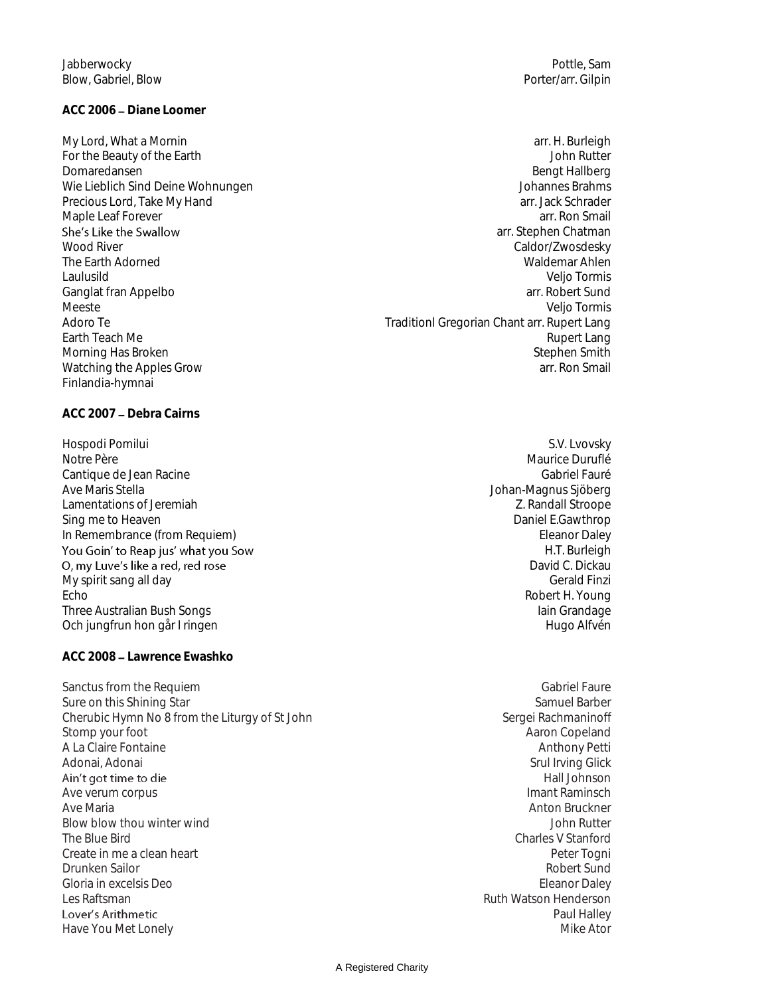## ACC 2006 - Diane Loomer

Precious Lord, Take My Hand Finlandia-hymnai

ACC 2007 - Debra Cairns

Hospodi Pomilui S.V. Lvovsky Cantique de Jean Racine Gabriel Fauré de Les Antiques de Jean Antique de Jean Racine Gabriel Fauré de Les Antiques de Le Ave Maris Stella Johan-Magnus Sjöberg<br>Lamentations of Jeremiah and Johan-Magnus Sjöberg<br>Z. Randall Stroope Lamentations of Jeremiah **Z. Randall Stroope**<br>
Sing me to Heaven<br>
Daniel E.Gawthrop Sing me to Heaven In Remembrance (from Requiem)<br> **In Remembrance (from Requiem)** Eleanor Daley<br> **In Transference Contract Contract Contract Contract Contract Contract Contract Contract Contract Contract Contract Contract Contract Contract C** O, my Luve's like a red, red rose My spirit sang all day Echo Robert H. Young Three Australian Bush Songs Iain Grandage Iain Grandage Iain Grandage Iain Grandage Iain Grandage Iain Grandage Och jungfrun hon går I ringen Hugo Alfvén Hugo Alfvén Hugo Alfvén

**ACC 2008 Lawrence Ewashko**

Sanctus from the Requiem Gabriel Faure on this Shining Star<br>Sure on this Shining Star Gabriel Faure on this Shining Star Sure on this Shining Star Cherubic Hymn No 8 from the Liturgy of St John Sergei Rachmaninoff Stomp your foot **Aaron Copeland Aaron Copeland** A La Claire Fontaine<br>
Anthony Petti<br>
Adonai, Adonai Ain't got time to die Ave verum corpus Ave Maria **Anton Bruckner** Anton Bruckner Anton Bruckner Anton Bruckner Anton Bruckner Blow blow thou winter wind  $\blacksquare$ The Blue Bird Charles V Stanford Charles V Stanford Create in me a clean heart **Peter Tognie** Peter Tognie **Peter Tognie** Peter Tognie Peter Tognie Peter Tognie Peter Tognie Peter Tognie Peter Tognie Peter Tognie Peter Tognie Peter Tognie Peter Tognie Peter Tognie Peter Tog Drunken Sailor **Robert Sundailor** Robert Sundailor Robert Sundailor Robert Sundailor Robert Sundailor Robert Sund Gloria in excelsis Deo Eleanor Daley Les Raftsman Ruth Watson Henderson Ruth Watson Henderson Lover's Arithmetic Have You Met Lonely

My Lord, What a Mornin arrive to the matter of the matter of the matter of the matter of the matter of the matter of the matter of the matter of the matter of the matter of the matter of the matter of the matter of the mat For the Beauty of the Earth John Rutter Domaredansen Bengt Hallberg<br>Wie Lieblich Sind Deine Wohnungen Bengt Hallberg<br>Bengt Hallberg Brahms (Bengt Hallberg) Wie Lieblich Sind Deine Wohnungen<br>Precious Lord. Take My Hand<br>Precious Lord. Take My Hand Maple Leaf Forever arr. Ron Smail<br>
She's Like the Swallow arrangement of the Swallow arrest of the Swallow arrest of the Swallow arrest of the Sw arr. Stephen Chatman Wood River North Adorned Number 2008 and the Caldor Caldor (Zwosdesky Number 2008)<br>The Farth Adorned Number 2008 and the Caldor Number 2008 and the Caldor Waldemar Ahlen Waldemar Ahlen<br>Velio Tormis Laulusild Veljo Tormis Ganglat fran Appelbo arr. Robert Sund and The Sund and The Sund are set of the Sund and The Sund are set of the Sund and The Sund are set of the Sund and The Sund are set of the Sund and The Sund are set of the Sund and Th Meeste Veljo Tormis Adoro Te Traditionl Gregorian Chant arr. Rupert Lang Earth Teach Me **Rupert Lang** Morning Has Broken Stephen Smith Stephen Smith Watching the Apples Grow arr. Ron Smail and the Apples Grow arr. Ron Smail and the Apples Grow arr. Ron Smail

> Maurice Duruflé H.T. Burleigh David C. Dickau

Srul Irving Glick Hall Johnson<br>Imant Raminsch Paul Halley<br>Mike Ator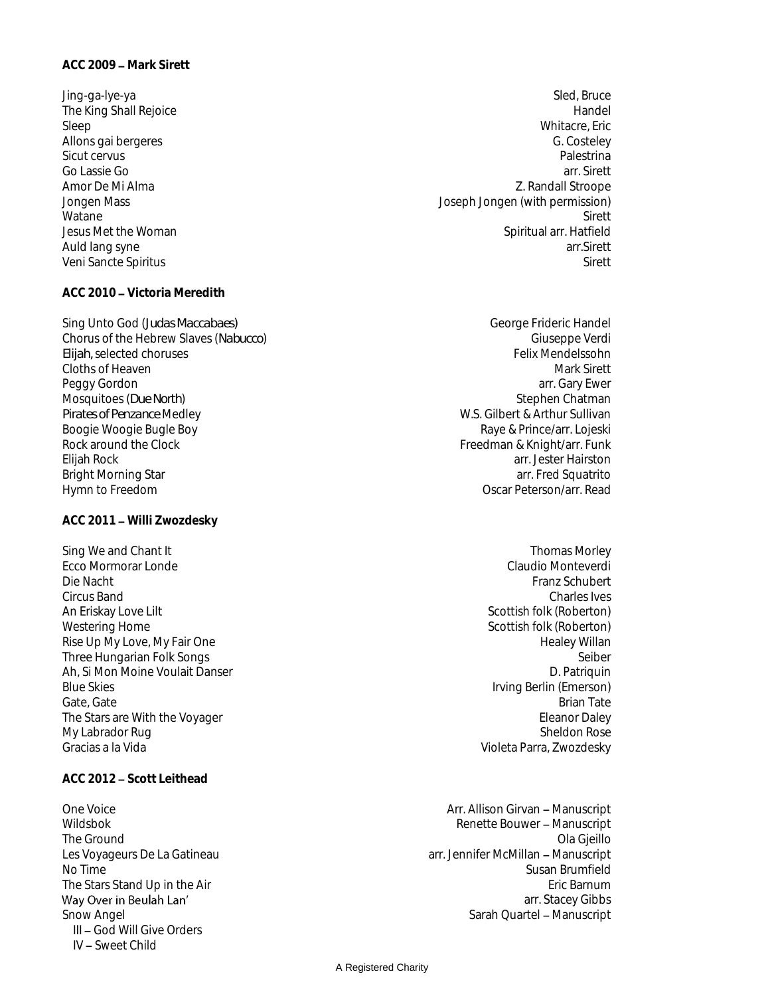## **ACC 2010 Victoria Meredith**

Sing Unto God (*Judas Maccabaes*) and the setting of the setting of the George Frideric Handel Chorus of the Hebrew Slaves (*Nabucco*) Giuseppe Verdi *Elijah,* selected choruses **Felix Mendelssohn** Cloths of Heaven Mark Sirett and Cloths of Heaven Mark Sirett and Cloths of Heaven Mark Sirett and Cloths of Heaven Mark Sirett and Cloths of Heaven Mark Sirett and Cloths of Heaven Mark Sirett and Cloths of Heaven Mark Si Peggy Gordon arr. Gary Ewer are the state of the state of the state of the state of the state of the state of the state of the state of the state of the state of the state of the state of the state of the state of the stat Mosquitoes (*Due North*) Stephen Chatman<br>Pirates of Penzance Medley Stephen Chatman Pirates of Penzance Medley Boogie Woogie Bugle Boy<br>Rock around the Clock Elijah Rock arr. Jester Hairston Bright Morning Star arr. Fred Squatrito Hymn to Freedom **Oscar Peterson/arr. Read** 

### **ACC 2011 Willi Zwozdesky**

Sing We and Chant It Thomas Morley Ecco Mormorar Londe Die Nacht Franz Schubert († 1892)<br>20 Oktober – Franz Schubert Gircus Band<br>20 Oktober – Franz Schubert († 1892) Circus Band Charles Ives An Eriskay Love Lilt Scottish folk (Roberton) and Scottish folk (Roberton) and Scottish folk (Roberton) Westering Home **Scottish folk (Roberton) Scottish folk (Roberton**) Rise Up My Love, My Fair One Notice that the same of the Healey Willan Three Hundarian Folk Sonds<br>Three Hundarian Folk Sonds Note that the Sonds of the Seiber Seiber Three Hungarian Folk Songs Seiber (Schwarzeit Schwarzeit Seiber Seiber Seiber Seiber Seiber Seiber (Schwarzeit<br>The Seiber (Schwarzeit Schwarzeit Schwarzeit Schwarzeit Schwarzeit Schwarzeit Schwarzeit Schwarzeit Schwarzeit<br> Ah, Si Mon Moine Voulait Danser Blue Skies **Irving Berlin (Emerson) Blue Skies Irving Berlin (Emerson**) Gate, Gate Brian Tate Brian Tate Brian Tate Brian Tate Brian Tate Brian Tate Brian Tate Brian Tate Brian Tate The Stars are With the Voyager **Eleanor Daley Eleanor Daley** My Labrador Rug Sheldon Rose

## **ACC 2012 Scott Leithead**

The Stars Stand Up in the Air Way Over in Beulah Lan' III - God Will Give Orders IV Sweet Child

- Jing-ga-lye-ya Sled, Bruce The King Shall Rejoice **Handel**<br>Sleep **Handel** Sleep Whitacre, Eric Allons gai bergeres G. Costeley Sicut cervus Palestrina Go Lassie Go arr. Sirett Amor De Mi Alma<br>
2. Randall Stroope<br>
Joseph Jongen (with permission) Joseph Jongen (with permission) Watane Sirett and Sirett and Sirett and Sirett and Sirett and Sirett and Sirett and Sirett and Sirett and Sirett Jesus Met the Woman Spiritual arr. Hatfield Auld lang syne arr. Sirett arrest arrest arrest arrest arrest arrest arrest arrest arrest arrest arrest arrest arrest arrest arrest arrest arrest arrest arrest arrest arrest arrest arrest arrest arrest arrest arrest arrest Veni Sancte Spiritus Siretti Siretti Superintensi Siretti Siretti Siretti Siretti Siretti Siretti Siretti Sirett
	- **W.S. Gilbert & Arthur Sullivan<br>Raye & Prince/arr. Lojeski** Freedman & Knight/arr. Funk
		- Violeta Parra, Zwozdesky
- One Voice **Arr. Allison Girvan Manuscript Arr. Allison Girvan Manuscript** Wildsbok **Manuscript Renette Bouwer - Manuscript** The Ground Communication of the Ground Communication of the Ground Communication of the Ground Communication of the Ground Communication of the Ground Communication of the Ground Communication of the Ground Communication o Les Voyageurs De La Gatineau arrangement des Voyageurs De La Gatineau arrangement des Voyageurs De La Gatineau No Time Susan Brumfield<br>The Stars Stand Up in the Air stars and the Stars Stand Up in the Air stars are stars as a stars of the Stars arr. Stacey Gibbs Snow Angel Sarah Quartel Manuscript Communication of the Sarah Quartel Manuscript Communication of the Sarah Quartel Manuscript

### A Registered Charity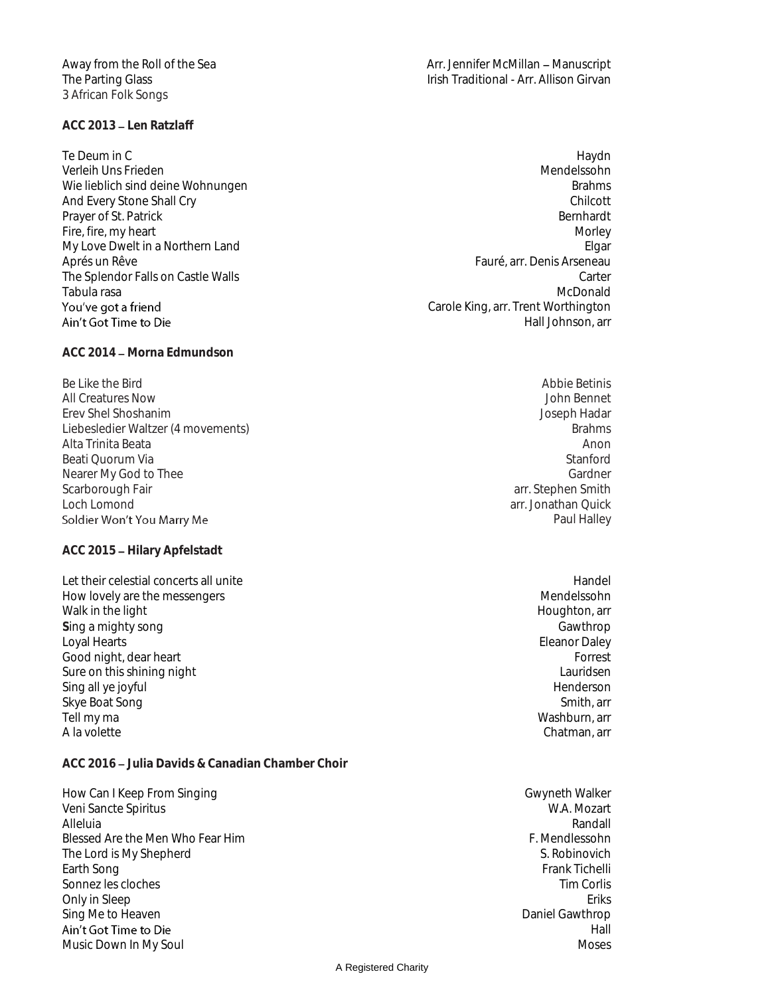3 African Folk Songs

## **ACC 2013 Len Ratzlaff**

Te Deum in Channel and the United States of the United States of the United States of the United States of the Verleih Uns Frieden († 1888)<br>Wie lieblich sind deine Wohnungen († 1888)<br>Mendelssohn († 1888) Wie lieblich sind deine Wohnungen<br>And Every Stone Shall Cry And Every Stone Shall Cry Prayer of St. Patrick Bernhardt Bernhardt Bernhardt Bernhardt Bernhardt Bernhardt Bernhardt Bernhardt Bernhardt Fire, fire, my heart Morley and Morley and Morley and Morley and Morley and Morley and Morley and Morley and Morley and Morley and Morley and Morley and Morley and Morley and Morley and Morley and Morley and Morley and Mor My Love Dwelt in a Northern Land Elgar Aprés un Rêve Fauré, arr. Denis Arseneau The Splendor Falls on Castle Walls Carter (1999) and the Splendor Falls on Castle Walls Carter (1999) and Carter<br>Tabula rasa Carter (1999) and Castle Walls Carter (1999) and Carter (1999) and Carter (1999) and Carter (1999 Tabula rasa McDonald Ain't Got Time to Die

ACC 2014 - Morna Edmundson

Be Like the Bird Abbie Betinis and the Betinis and the Betinis and the Betinis and Abbie Betinis and Abbie Betinis All Creatures Now John Bennet Erev Shel Shoshanim Joseph Hadar Liebesledier Waltzer (4 movements) and the settlement of the settlement of the settlement of the Brahms of the Brahms of the Shahms of the Shahms of the Shahms of the Shahms of the Shahms of the Shahms of the Shahms of the Alta Trinita Beata Anon Beati Quorum Via Stanford<br>
Nearer My God to Thee Stanford<br>
Stanford Stanford Nearer My God to Thee Scarborough Fair and the state of the state of the state of the state of the state of the state of the state of the state of the state of the state of the state of the state of the state of the state of the state of the st Loch Lomond arr. Jonathan Quick<br>
Soldier Won't You Marry Me

**ACC 2015 Hilary Apfelstadt**

Let their celestial concerts all unite Handel Assets and the Handel Handel Handel Handel Handel Handel Handel How lovely are the messengers Mendelssohn and the messengers Mendelssohn and the messengers Mendelssohn and the messengers  $\mathbb{R}$ Walk in the light **Houghton, array in the light** Houghton, array in the Houghton, array in the light **Sing a mighty song Gawthrop Sing a mighty song Gawthrop Gawthrop Gawthrop Gawthrop Gawthrop Gawthrop Gawthrop Gawthrop Gawthrop Gawthrop Gawthrop Gawthrop Gawthrop Gawthrop Gawthrop Gawthrop Gawthrop Gawthrop Gawthrop Gaw** Loyal Hearts Eleanor Daley Good night, dear heart Forrest European Superior Control of the Superior Control of Terms of Terms and Terms of Terms of Terms and Terms of Terms of Terms of Terms of Terms of Terms of Terms of Terms of Terms of Terms of T Sure on this shining night and the state of the state of the state of the state of the state of the Sina all velocity of the Sina all velocity of the Sina all velocity of the Sina all velocity of the Sina all velocity of t Sing all ye joyful Skye Boat Song Show Boat Song Smith, arr Smith, arr Smith, arr Smith, arr Smith, arr Smith, arr Smith, arr Smith, arr Smith, arr Smith, arr Smith, arr Smith, arr Smith, arr Smith, arr Smith, arr Smith, arr Smith, arr Smith Tell my ma Washburn, arr A la volette Chatman, arreste Chatman, arreste Chatman, arreste Chatman, arreste Chatman, arr

**ACC 2016 Julia Davids & Canadian Chamber Choir**

How Can I Keep From Singing Gwyneth Walker<br>Veni Sancte Spiritus Gwyneth Walker (Gwyneth Walker Veni Sancte Spiritus Gwyneth Walker Veni Sancte Spiritus New York Spiritus W.A. Mozart<br>Alleluia Randall Alleluia **Randall** Blessed Are the Men Who Fear Him For the Mendlessohn F. Mendlessohn The Lord is My Shepherd and S. Robinovich and S. Robinovich and S. Robinovich and S. Robinovich and S. Robinovich<br>Earth Song and S. Robinovich and S. Robinovich and S. Robinovich and S. Robinovich and S. Robinovich and S. Earth Song Frank Tichelli (1999), and the second state of the second state of the second state of the second state of the second state of the second state of the second state of the second state of the second state of the Sonnez les cloches Tim Corlis and the United States on the Tim Corlis Control of the United States on the United States on the United States on the United States on the United States on the United States on the United Stat Only in Sleep Eriks<br>
Sing Me to Heaven<br>
Daniel Gawthrop Sing Me to Heaven Ain't Got Time to Die Music Down In My Soul Moses and the Music Down In My Soul Moses and the Music Down In Moses

Away from the Roll of the Sea Arr. Jennifer McMillan - Manuscript The Parting Glass Irish Traditional - Arr. Allison Girvan

- Carole King, arr. Trent Worthington Hall Johnson, arr
	- Paul Halley

Hall

A Registered Charity